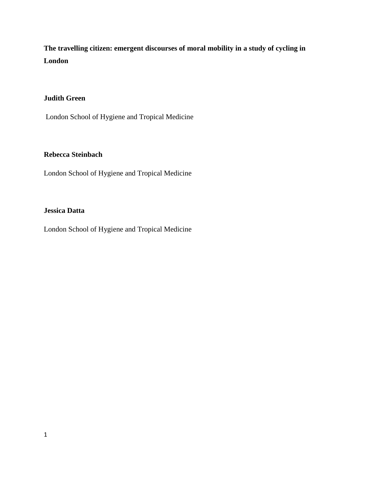**The travelling citizen: emergent discourses of moral mobility in a study of cycling in London**

# **Judith Green**

London School of Hygiene and Tropical Medicine

## **Rebecca Steinbach**

London School of Hygiene and Tropical Medicine

## **Jessica Datta**

London School of Hygiene and Tropical Medicine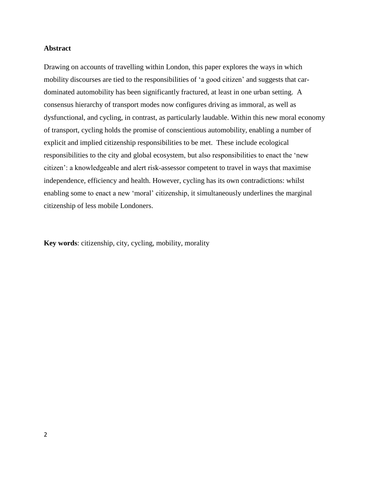### **Abstract**

Drawing on accounts of travelling within London, this paper explores the ways in which mobility discourses are tied to the responsibilities of 'a good citizen' and suggests that cardominated automobility has been significantly fractured, at least in one urban setting. A consensus hierarchy of transport modes now configures driving as immoral, as well as dysfunctional, and cycling, in contrast, as particularly laudable. Within this new moral economy of transport, cycling holds the promise of conscientious automobility, enabling a number of explicit and implied citizenship responsibilities to be met. These include ecological responsibilities to the city and global ecosystem, but also responsibilities to enact the 'new citizen': a knowledgeable and alert risk-assessor competent to travel in ways that maximise independence, efficiency and health. However, cycling has its own contradictions: whilst enabling some to enact a new 'moral' citizenship, it simultaneously underlines the marginal citizenship of less mobile Londoners.

**Key words**: citizenship, city, cycling, mobility, morality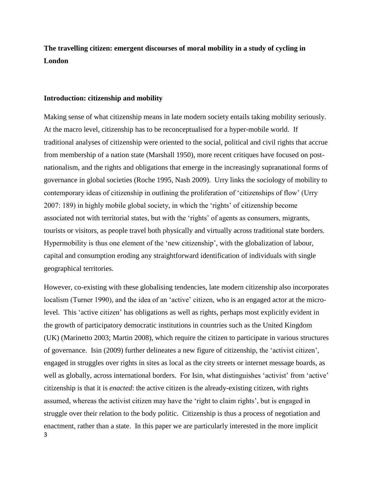# **The travelling citizen: emergent discourses of moral mobility in a study of cycling in London**

#### **Introduction: citizenship and mobility**

Making sense of what citizenship means in late modern society entails taking mobility seriously. At the macro level, citizenship has to be reconceptualised for a hyper-mobile world. If traditional analyses of citizenship were oriented to the social, political and civil rights that accrue from membership of a nation state (Marshall 1950), more recent critiques have focused on postnationalism, and the rights and obligations that emerge in the increasingly supranational forms of governance in global societies (Roche 1995, Nash 2009). Urry links the sociology of mobility to contemporary ideas of citizenship in outlining the proliferation of 'citizenships of flow' (Urry 2007: 189) in highly mobile global society, in which the 'rights' of citizenship become associated not with territorial states, but with the 'rights' of agents as consumers, migrants, tourists or visitors, as people travel both physically and virtually across traditional state borders. Hypermobility is thus one element of the 'new citizenship', with the globalization of labour, capital and consumption eroding any straightforward identification of individuals with single geographical territories.

3 However, co-existing with these globalising tendencies, late modern citizenship also incorporates localism (Turner 1990), and the idea of an 'active' citizen, who is an engaged actor at the microlevel. This 'active citizen' has obligations as well as rights, perhaps most explicitly evident in the growth of participatory democratic institutions in countries such as the United Kingdom (UK) (Marinetto 2003; Martin 2008), which require the citizen to participate in various structures of governance. Isin (2009) further delineates a new figure of citizenship, the 'activist citizen', engaged in struggles over rights in sites as local as the city streets or internet message boards, as well as globally, across international borders. For Isin, what distinguishes 'activist' from 'active' citizenship is that it is *enacted*: the active citizen is the already-existing citizen, with rights assumed, whereas the activist citizen may have the 'right to claim rights', but is engaged in struggle over their relation to the body politic. Citizenship is thus a process of negotiation and enactment, rather than a state. In this paper we are particularly interested in the more implicit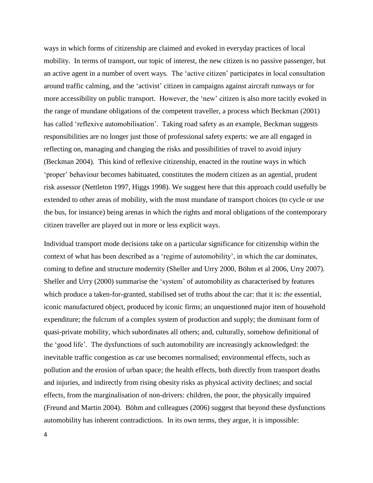ways in which forms of citizenship are claimed and evoked in everyday practices of local mobility. In terms of transport, our topic of interest, the new citizen is no passive passenger, but an active agent in a number of overt ways. The 'active citizen' participates in local consultation around traffic calming, and the 'activist' citizen in campaigns against aircraft runways or for more accessibility on public transport. However, the 'new' citizen is also more tacitly evoked in the range of mundane obligations of the competent traveller, a process which Beckman (2001) has called 'reflexive automobilisation'. Taking road safety as an example, Beckman suggests responsibilities are no longer just those of professional safety experts: we are all engaged in reflecting on, managing and changing the risks and possibilities of travel to avoid injury (Beckman 2004). This kind of reflexive citizenship, enacted in the routine ways in which 'proper' behaviour becomes habituated, constitutes the modern citizen as an agential, prudent risk assessor (Nettleton 1997, Higgs 1998). We suggest here that this approach could usefully be extended to other areas of mobility, with the most mundane of transport choices (to cycle or use the bus, for instance) being arenas in which the rights and moral obligations of the contemporary citizen traveller are played out in more or less explicit ways.

Individual transport mode decisions take on a particular significance for citizenship within the context of what has been described as a 'regime of automobility', in which the car dominates, coming to define and structure modernity (Sheller and Urry 2000, Böhm et al 2006, Urry 2007). Sheller and Urry (2000) summarise the 'system' of automobility as characterised by features which produce a taken-for-granted, stabilised set of truths about the car: that it is: *the* essential, iconic manufactured object, produced by iconic firms; an unquestioned major item of household expenditure; the fulcrum of a complex system of production and supply; the dominant form of quasi-private mobility, which subordinates all others; and, culturally, somehow definitional of the 'good life'. The dysfunctions of such automobility are increasingly acknowledged: the inevitable traffic congestion as car use becomes normalised; environmental effects, such as pollution and the erosion of urban space; the health effects, both directly from transport deaths and injuries, and indirectly from rising obesity risks as physical activity declines; and social effects, from the marginalisation of non-drivers: children, the poor, the physically impaired (Freund and Martin 2004). Böhm and colleagues (2006) suggest that beyond these dysfunctions automobility has inherent contradictions. In its own terms, they argue, it is impossible: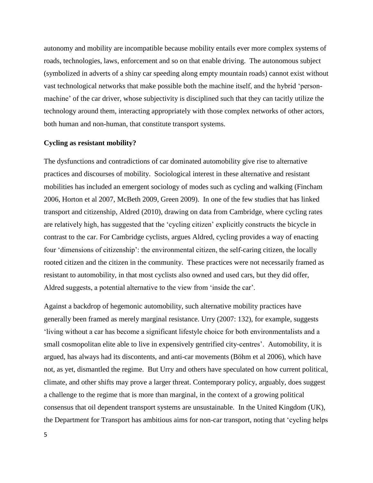autonomy and mobility are incompatible because mobility entails ever more complex systems of roads, technologies, laws, enforcement and so on that enable driving. The autonomous subject (symbolized in adverts of a shiny car speeding along empty mountain roads) cannot exist without vast technological networks that make possible both the machine itself, and the hybrid 'personmachine' of the car driver, whose subjectivity is disciplined such that they can tacitly utilize the technology around them, interacting appropriately with those complex networks of other actors, both human and non-human, that constitute transport systems.

#### **Cycling as resistant mobility?**

The dysfunctions and contradictions of car dominated automobility give rise to alternative practices and discourses of mobility. Sociological interest in these alternative and resistant mobilities has included an emergent sociology of modes such as cycling and walking (Fincham 2006, Horton et al 2007, McBeth 2009, Green 2009). In one of the few studies that has linked transport and citizenship, Aldred (2010), drawing on data from Cambridge, where cycling rates are relatively high, has suggested that the 'cycling citizen' explicitly constructs the bicycle in contrast to the car. For Cambridge cyclists, argues Aldred, cycling provides a way of enacting four 'dimensions of citizenship': the environmental citizen, the self-caring citizen, the locally rooted citizen and the citizen in the community. These practices were not necessarily framed as resistant to automobility, in that most cyclists also owned and used cars, but they did offer, Aldred suggests, a potential alternative to the view from 'inside the car'.

Against a backdrop of hegemonic automobility, such alternative mobility practices have generally been framed as merely marginal resistance. Urry (2007: 132), for example, suggests 'living without a car has become a significant lifestyle choice for both environmentalists and a small cosmopolitan elite able to live in expensively gentrified city-centres'. Automobility, it is argued, has always had its discontents, and anti-car movements (Böhm et al 2006), which have not, as yet, dismantled the regime. But Urry and others have speculated on how current political, climate, and other shifts may prove a larger threat. Contemporary policy, arguably, does suggest a challenge to the regime that is more than marginal, in the context of a growing political consensus that oil dependent transport systems are unsustainable. In the United Kingdom (UK), the Department for Transport has ambitious aims for non-car transport, noting that 'cycling helps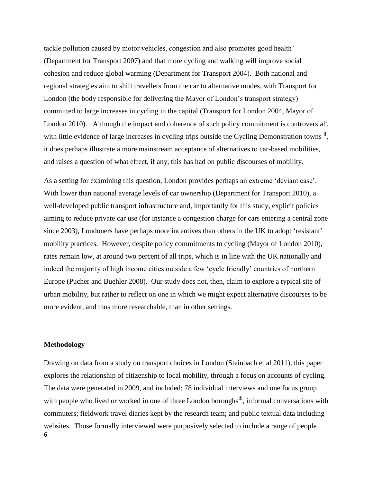tackle pollution caused by motor vehicles, congestion and also promotes good health' (Department for Transport 2007) and that more cycling and walking will improve social cohesion and reduce global warming (Department for Transport 2004). Both national and regional strategies aim to shift travellers from the car to alternative modes, with Transport for London (the body responsible for delivering the Mayor of London's transport strategy) committed to large increases in cycling in the capital (Transport for London 2004, Mayor of London 2010). Although the impact and coherence of such policy commitment is controversial<sup>i</sup>, with little evidence of large increases in cycling trips outside the Cycling Demonstration towns <sup>ii</sup>, it does perhaps illustrate a more mainstream acceptance of alternatives to car-based mobilities, and raises a question of what effect, if any, this has had on public discourses of mobility.

As a setting for examining this question, London provides perhaps an extreme 'deviant case'. With lower than national average levels of car ownership (Department for Transport 2010), a well-developed public transport infrastructure and, importantly for this study, explicit policies aiming to reduce private car use (for instance a congestion charge for cars entering a central zone since 2003), Londoners have perhaps more incentives than others in the UK to adopt 'resistant' mobility practices. However, despite policy commitments to cycling (Mayor of London 2010), rates remain low, at around two percent of all trips, which is in line with the UK nationally and indeed the majority of high income cities outside a few 'cycle friendly' countries of northern Europe (Pucher and Buehler 2008). Our study does not, then, claim to explore a typical site of urban mobility, but rather to reflect on one in which we might expect alternative discourses to be more evident, and thus more researchable, than in other settings.

#### **Methodology**

6 Drawing on data from a study on transport choices in London (Steinbach et al 2011), this paper explores the relationship of citizenship to local mobility, through a focus on accounts of cycling. The data were generated in 2009, and included: 78 individual interviews and one focus group with people who lived or worked in one of three London boroughs<sup>iii</sup>, informal conversations with commuters; fieldwork travel diaries kept by the research team; and public textual data including websites. Those formally interviewed were purposively selected to include a range of people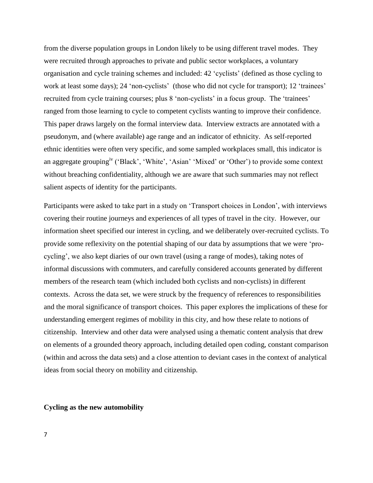from the diverse population groups in London likely to be using different travel modes. They were recruited through approaches to private and public sector workplaces, a voluntary organisation and cycle training schemes and included: 42 'cyclists' (defined as those cycling to work at least some days); 24 'non-cyclists' (those who did not cycle for transport); 12 'trainees' recruited from cycle training courses; plus 8 'non-cyclists' in a focus group. The 'trainees' ranged from those learning to cycle to competent cyclists wanting to improve their confidence. This paper draws largely on the formal interview data. Interview extracts are annotated with a pseudonym, and (where available) age range and an indicator of ethnicity. As self-reported ethnic identities were often very specific, and some sampled workplaces small, this indicator is an aggregate grouping<sup>iv</sup> ('Black', 'White', 'Asian' 'Mixed' or 'Other') to provide some context without breaching confidentiality, although we are aware that such summaries may not reflect salient aspects of identity for the participants.

Participants were asked to take part in a study on 'Transport choices in London', with interviews covering their routine journeys and experiences of all types of travel in the city. However, our information sheet specified our interest in cycling, and we deliberately over-recruited cyclists. To provide some reflexivity on the potential shaping of our data by assumptions that we were 'procycling', we also kept diaries of our own travel (using a range of modes), taking notes of informal discussions with commuters, and carefully considered accounts generated by different members of the research team (which included both cyclists and non-cyclists) in different contexts. Across the data set, we were struck by the frequency of references to responsibilities and the moral significance of transport choices. This paper explores the implications of these for understanding emergent regimes of mobility in this city, and how these relate to notions of citizenship. Interview and other data were analysed using a thematic content analysis that drew on elements of a grounded theory approach, including detailed open coding, constant comparison (within and across the data sets) and a close attention to deviant cases in the context of analytical ideas from social theory on mobility and citizenship.

#### **Cycling as the new automobility**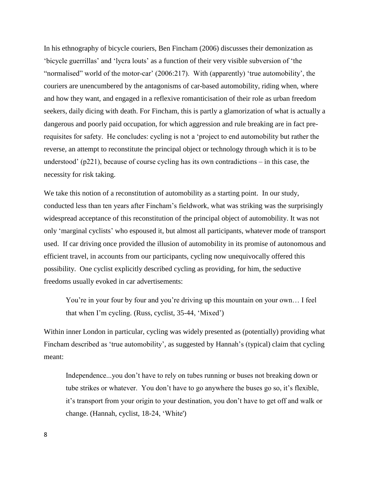In his ethnography of bicycle couriers, Ben Fincham (2006) discusses their demonization as 'bicycle guerrillas' and 'lycra louts' as a function of their very visible subversion of 'the "normalised" world of the motor-car' (2006:217). With (apparently) 'true automobility', the couriers are unencumbered by the antagonisms of car-based automobility, riding when, where and how they want, and engaged in a reflexive romanticisation of their role as urban freedom seekers, daily dicing with death. For Fincham, this is partly a glamorization of what is actually a dangerous and poorly paid occupation, for which aggression and rule breaking are in fact prerequisites for safety. He concludes: cycling is not a 'project to end automobility but rather the reverse, an attempt to reconstitute the principal object or technology through which it is to be understood' (p221), because of course cycling has its own contradictions – in this case, the necessity for risk taking.

We take this notion of a reconstitution of automobility as a starting point. In our study, conducted less than ten years after Fincham's fieldwork, what was striking was the surprisingly widespread acceptance of this reconstitution of the principal object of automobility. It was not only 'marginal cyclists' who espoused it, but almost all participants, whatever mode of transport used. If car driving once provided the illusion of automobility in its promise of autonomous and efficient travel, in accounts from our participants, cycling now unequivocally offered this possibility. One cyclist explicitly described cycling as providing, for him, the seductive freedoms usually evoked in car advertisements:

You're in your four by four and you're driving up this mountain on your own… I feel that when I'm cycling. (Russ, cyclist, 35-44, 'Mixed')

Within inner London in particular, cycling was widely presented as (potentially) providing what Fincham described as 'true automobility', as suggested by Hannah's (typical) claim that cycling meant:

Independence...you don't have to rely on tubes running or buses not breaking down or tube strikes or whatever. You don't have to go anywhere the buses go so, it's flexible, it's transport from your origin to your destination, you don't have to get off and walk or change. (Hannah, cyclist, 18-24, 'White')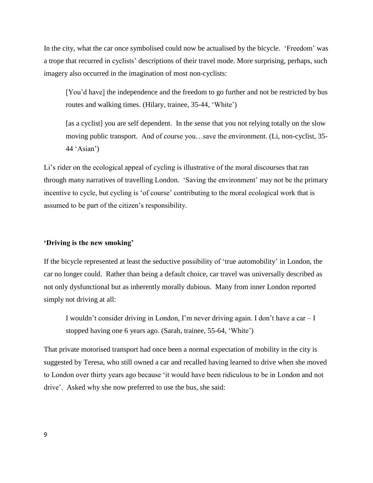In the city, what the car once symbolised could now be actualised by the bicycle. 'Freedom' was a trope that recurred in cyclists' descriptions of their travel mode. More surprising, perhaps, such imagery also occurred in the imagination of most non-cyclists:

[You'd have] the independence and the freedom to go further and not be restricted by bus routes and walking times. (Hilary, trainee, 35-44, 'White')

[as a cyclist] you are self dependent. In the sense that you not relying totally on the slow moving public transport. And of course you…save the environment. (Li, non-cyclist, 35- 44 'Asian')

Li's rider on the ecological appeal of cycling is illustrative of the moral discourses that ran through many narratives of travelling London. 'Saving the environment' may not be the primary incentive to cycle, but cycling is 'of course' contributing to the moral ecological work that is assumed to be part of the citizen's responsibility.

## **'Driving is the new smoking'**

If the bicycle represented at least the seductive possibility of 'true automobility' in London, the car no longer could. Rather than being a default choice, car travel was universally described as not only dysfunctional but as inherently morally dubious. Many from inner London reported simply not driving at all:

I wouldn't consider driving in London, I'm never driving again. I don't have a car – I stopped having one 6 years ago. (Sarah, trainee, 55-64, 'White')

That private motorised transport had once been a normal expectation of mobility in the city is suggested by Teresa, who still owned a car and recalled having learned to drive when she moved to London over thirty years ago because 'it would have been ridiculous to be in London and not drive'. Asked why she now preferred to use the bus, she said: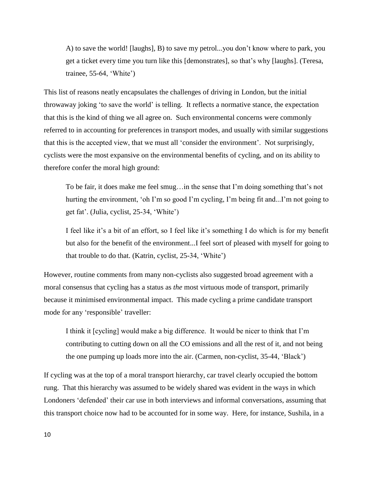A) to save the world! [laughs], B) to save my petrol...you don't know where to park, you get a ticket every time you turn like this [demonstrates], so that's why [laughs]. (Teresa, trainee, 55-64, 'White')

This list of reasons neatly encapsulates the challenges of driving in London, but the initial throwaway joking 'to save the world' is telling. It reflects a normative stance, the expectation that this is the kind of thing we all agree on. Such environmental concerns were commonly referred to in accounting for preferences in transport modes, and usually with similar suggestions that this is the accepted view, that we must all 'consider the environment'. Not surprisingly, cyclists were the most expansive on the environmental benefits of cycling, and on its ability to therefore confer the moral high ground:

To be fair, it does make me feel smug…in the sense that I'm doing something that's not hurting the environment, 'oh I'm so good I'm cycling, I'm being fit and...I'm not going to get fat'. (Julia, cyclist, 25-34, 'White')

I feel like it's a bit of an effort, so I feel like it's something I do which is for my benefit but also for the benefit of the environment...I feel sort of pleased with myself for going to that trouble to do that. (Katrin, cyclist, 25-34, 'White')

However, routine comments from many non-cyclists also suggested broad agreement with a moral consensus that cycling has a status as *the* most virtuous mode of transport, primarily because it minimised environmental impact. This made cycling a prime candidate transport mode for any 'responsible' traveller:

I think it [cycling] would make a big difference. It would be nicer to think that I'm contributing to cutting down on all the CO emissions and all the rest of it, and not being the one pumping up loads more into the air. (Carmen, non-cyclist, 35-44, 'Black')

If cycling was at the top of a moral transport hierarchy, car travel clearly occupied the bottom rung. That this hierarchy was assumed to be widely shared was evident in the ways in which Londoners 'defended' their car use in both interviews and informal conversations, assuming that this transport choice now had to be accounted for in some way. Here, for instance, Sushila, in a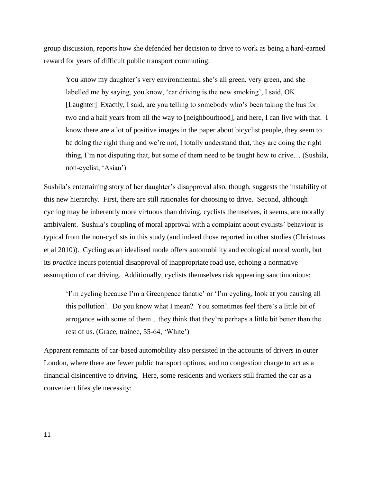group discussion, reports how she defended her decision to drive to work as being a hard-earned reward for years of difficult public transport commuting:

You know my daughter's very environmental, she's all green, very green, and she labelled me by saying, you know, 'car driving is the new smoking', I said, OK. [Laughter] Exactly, I said, are you telling to somebody who's been taking the bus for two and a half years from all the way to [neighbourhood], and here, I can live with that. I know there are a lot of positive images in the paper about bicyclist people, they seem to be doing the right thing and we're not, I totally understand that, they are doing the right thing, I'm not disputing that, but some of them need to be taught how to drive… (Sushila, non-cyclist, 'Asian')

Sushila's entertaining story of her daughter's disapproval also, though, suggests the instability of this new hierarchy. First, there are still rationales for choosing to drive. Second, although cycling may be inherently more virtuous than driving, cyclists themselves, it seems, are morally ambivalent. Sushila's coupling of moral approval with a complaint about cyclists' behaviour is typical from the non-cyclists in this study (and indeed those reported in other studies (Christmas et al 2010)). Cycling as an idealised mode offers automobility and ecological moral worth, but its *practice* incurs potential disapproval of inappropriate road use, echoing a normative assumption of car driving. Additionally, cyclists themselves risk appearing sanctimonious:

'I'm cycling because I'm a Greenpeace fanatic' or 'I'm cycling, look at you causing all this pollution'. Do you know what I mean? You sometimes feel there's a little bit of arrogance with some of them…they think that they're perhaps a little bit better than the rest of us. (Grace, trainee, 55-64, 'White')

Apparent remnants of car-based automobility also persisted in the accounts of drivers in outer London, where there are fewer public transport options, and no congestion charge to act as a financial disincentive to driving. Here, some residents and workers still framed the car as a convenient lifestyle necessity: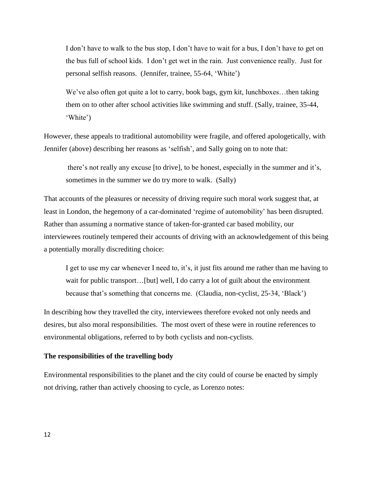I don't have to walk to the bus stop, I don't have to wait for a bus, I don't have to get on the bus full of school kids. I don't get wet in the rain. Just convenience really. Just for personal selfish reasons. (Jennifer, trainee, 55-64, 'White')

We've also often got quite a lot to carry, book bags, gym kit, lunchboxes...then taking them on to other after school activities like swimming and stuff. (Sally, trainee, 35-44, 'White')

However, these appeals to traditional automobility were fragile, and offered apologetically, with Jennifer (above) describing her reasons as 'selfish', and Sally going on to note that:

there's not really any excuse [to drive], to be honest, especially in the summer and it's, sometimes in the summer we do try more to walk. (Sally)

That accounts of the pleasures or necessity of driving require such moral work suggest that, at least in London, the hegemony of a car-dominated 'regime of automobility' has been disrupted. Rather than assuming a normative stance of taken-for-granted car based mobility, our interviewees routinely tempered their accounts of driving with an acknowledgement of this being a potentially morally discrediting choice:

I get to use my car whenever I need to, it's, it just fits around me rather than me having to wait for public transport...[but] well, I do carry a lot of guilt about the environment because that's something that concerns me. (Claudia, non-cyclist, 25-34, 'Black')

In describing how they travelled the city, interviewees therefore evoked not only needs and desires, but also moral responsibilities. The most overt of these were in routine references to environmental obligations, referred to by both cyclists and non-cyclists.

#### **The responsibilities of the travelling body**

Environmental responsibilities to the planet and the city could of course be enacted by simply not driving, rather than actively choosing to cycle, as Lorenzo notes: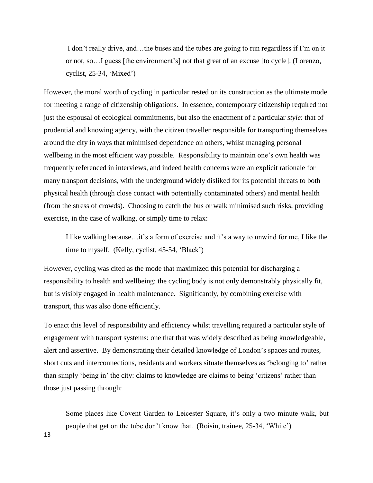I don't really drive, and…the buses and the tubes are going to run regardless if I'm on it or not, so…I guess [the environment's] not that great of an excuse [to cycle]. (Lorenzo, cyclist, 25-34, 'Mixed')

However, the moral worth of cycling in particular rested on its construction as the ultimate mode for meeting a range of citizenship obligations. In essence, contemporary citizenship required not just the espousal of ecological commitments, but also the enactment of a particular *style*: that of prudential and knowing agency, with the citizen traveller responsible for transporting themselves around the city in ways that minimised dependence on others, whilst managing personal wellbeing in the most efficient way possible. Responsibility to maintain one's own health was frequently referenced in interviews, and indeed health concerns were an explicit rationale for many transport decisions, with the underground widely disliked for its potential threats to both physical health (through close contact with potentially contaminated others) and mental health (from the stress of crowds). Choosing to catch the bus or walk minimised such risks, providing exercise, in the case of walking, or simply time to relax:

I like walking because…it's a form of exercise and it's a way to unwind for me, I like the time to myself. (Kelly, cyclist, 45-54, 'Black')

However, cycling was cited as the mode that maximized this potential for discharging a responsibility to health and wellbeing: the cycling body is not only demonstrably physically fit, but is visibly engaged in health maintenance. Significantly, by combining exercise with transport, this was also done efficiently.

To enact this level of responsibility and efficiency whilst travelling required a particular style of engagement with transport systems: one that that was widely described as being knowledgeable, alert and assertive. By demonstrating their detailed knowledge of London's spaces and routes, short cuts and interconnections, residents and workers situate themselves as 'belonging to' rather than simply 'being in' the city: claims to knowledge are claims to being 'citizens' rather than those just passing through:

Some places like Covent Garden to Leicester Square, it's only a two minute walk, but people that get on the tube don't know that. (Roisin, trainee, 25-34, 'White')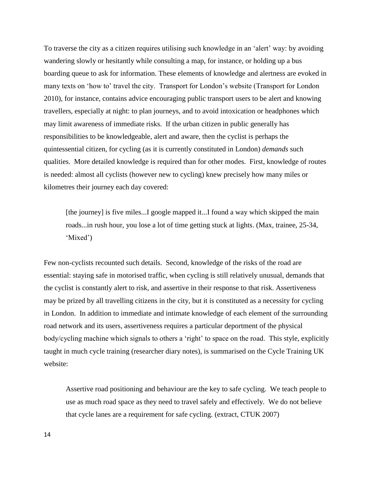To traverse the city as a citizen requires utilising such knowledge in an 'alert' way: by avoiding wandering slowly or hesitantly while consulting a map, for instance, or holding up a bus boarding queue to ask for information. These elements of knowledge and alertness are evoked in many texts on 'how to' travel the city. Transport for London's website (Transport for London 2010), for instance, contains advice encouraging public transport users to be alert and knowing travellers, especially at night: to plan journeys, and to avoid intoxication or headphones which may limit awareness of immediate risks. If the urban citizen in public generally has responsibilities to be knowledgeable, alert and aware, then the cyclist is perhaps the quintessential citizen, for cycling (as it is currently constituted in London) *demands* such qualities. More detailed knowledge is required than for other modes. First, knowledge of routes is needed: almost all cyclists (however new to cycling) knew precisely how many miles or kilometres their journey each day covered:

[the journey] is five miles...I google mapped it...I found a way which skipped the main roads...in rush hour, you lose a lot of time getting stuck at lights. (Max, trainee, 25-34, 'Mixed')

Few non-cyclists recounted such details. Second, knowledge of the risks of the road are essential: staying safe in motorised traffic, when cycling is still relatively unusual, demands that the cyclist is constantly alert to risk, and assertive in their response to that risk. Assertiveness may be prized by all travelling citizens in the city, but it is constituted as a necessity for cycling in London. In addition to immediate and intimate knowledge of each element of the surrounding road network and its users, assertiveness requires a particular deportment of the physical body/cycling machine which signals to others a 'right' to space on the road. This style, explicitly taught in much cycle training (researcher diary notes), is summarised on the Cycle Training UK website:

Assertive road positioning and behaviour are the key to safe cycling. We teach people to use as much road space as they need to travel safely and effectively. We do not believe that cycle lanes are a requirement for safe cycling. (extract, CTUK 2007)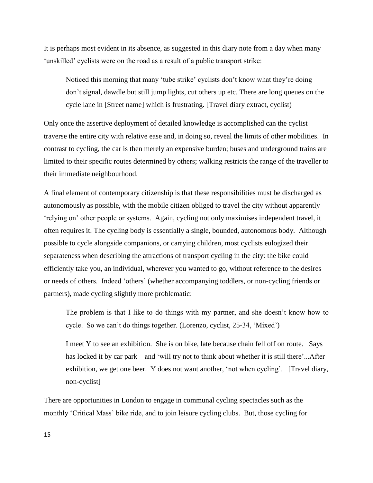It is perhaps most evident in its absence, as suggested in this diary note from a day when many 'unskilled' cyclists were on the road as a result of a public transport strike:

Noticed this morning that many 'tube strike' cyclists don't know what they're doing – don't signal, dawdle but still jump lights, cut others up etc. There are long queues on the cycle lane in [Street name] which is frustrating. [Travel diary extract, cyclist)

Only once the assertive deployment of detailed knowledge is accomplished can the cyclist traverse the entire city with relative ease and, in doing so, reveal the limits of other mobilities. In contrast to cycling, the car is then merely an expensive burden; buses and underground trains are limited to their specific routes determined by others; walking restricts the range of the traveller to their immediate neighbourhood.

A final element of contemporary citizenship is that these responsibilities must be discharged as autonomously as possible, with the mobile citizen obliged to travel the city without apparently 'relying on' other people or systems. Again, cycling not only maximises independent travel, it often requires it. The cycling body is essentially a single, bounded, autonomous body. Although possible to cycle alongside companions, or carrying children, most cyclists eulogized their separateness when describing the attractions of transport cycling in the city: the bike could efficiently take you, an individual, wherever you wanted to go, without reference to the desires or needs of others. Indeed 'others' (whether accompanying toddlers, or non-cycling friends or partners), made cycling slightly more problematic:

The problem is that I like to do things with my partner, and she doesn't know how to cycle. So we can't do things together. (Lorenzo, cyclist, 25-34, 'Mixed')

I meet Y to see an exhibition. She is on bike, late because chain fell off on route. Says has locked it by car park – and 'will try not to think about whether it is still there'...After exhibition, we get one beer. Y does not want another, 'not when cycling'. [Travel diary, non-cyclist]

There are opportunities in London to engage in communal cycling spectacles such as the monthly 'Critical Mass' bike ride, and to join leisure cycling clubs. But, those cycling for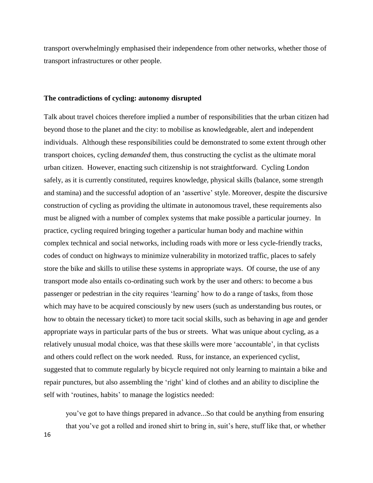transport overwhelmingly emphasised their independence from other networks, whether those of transport infrastructures or other people.

#### **The contradictions of cycling: autonomy disrupted**

Talk about travel choices therefore implied a number of responsibilities that the urban citizen had beyond those to the planet and the city: to mobilise as knowledgeable, alert and independent individuals. Although these responsibilities could be demonstrated to some extent through other transport choices, cycling *demanded* them, thus constructing the cyclist as the ultimate moral urban citizen. However, enacting such citizenship is not straightforward. Cycling London safely, as it is currently constituted, requires knowledge, physical skills (balance, some strength and stamina) and the successful adoption of an 'assertive' style. Moreover, despite the discursive construction of cycling as providing the ultimate in autonomous travel, these requirements also must be aligned with a number of complex systems that make possible a particular journey. In practice, cycling required bringing together a particular human body and machine within complex technical and social networks, including roads with more or less cycle-friendly tracks, codes of conduct on highways to minimize vulnerability in motorized traffic, places to safely store the bike and skills to utilise these systems in appropriate ways. Of course, the use of any transport mode also entails co-ordinating such work by the user and others: to become a bus passenger or pedestrian in the city requires 'learning' how to do a range of tasks, from those which may have to be acquired consciously by new users (such as understanding bus routes, or how to obtain the necessary ticket) to more tacit social skills, such as behaving in age and gender appropriate ways in particular parts of the bus or streets. What was unique about cycling, as a relatively unusual modal choice, was that these skills were more 'accountable', in that cyclists and others could reflect on the work needed. Russ, for instance, an experienced cyclist, suggested that to commute regularly by bicycle required not only learning to maintain a bike and repair punctures, but also assembling the 'right' kind of clothes and an ability to discipline the self with 'routines, habits' to manage the logistics needed:

you've got to have things prepared in advance...So that could be anything from ensuring that you've got a rolled and ironed shirt to bring in, suit's here, stuff like that, or whether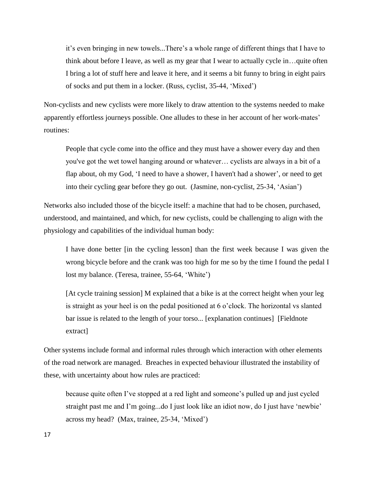it's even bringing in new towels...There's a whole range of different things that I have to think about before I leave, as well as my gear that I wear to actually cycle in…quite often I bring a lot of stuff here and leave it here, and it seems a bit funny to bring in eight pairs of socks and put them in a locker. (Russ, cyclist, 35-44, 'Mixed')

Non-cyclists and new cyclists were more likely to draw attention to the systems needed to make apparently effortless journeys possible. One alludes to these in her account of her work-mates' routines:

People that cycle come into the office and they must have a shower every day and then you've got the wet towel hanging around or whatever… cyclists are always in a bit of a flap about, oh my God, 'I need to have a shower, I haven't had a shower', or need to get into their cycling gear before they go out. (Jasmine, non-cyclist, 25-34, 'Asian')

Networks also included those of the bicycle itself: a machine that had to be chosen, purchased, understood, and maintained, and which, for new cyclists, could be challenging to align with the physiology and capabilities of the individual human body:

I have done better [in the cycling lesson] than the first week because I was given the wrong bicycle before and the crank was too high for me so by the time I found the pedal I lost my balance. (Teresa, trainee, 55-64, 'White')

[At cycle training session] M explained that a bike is at the correct height when your leg is straight as your heel is on the pedal positioned at 6 o'clock. The horizontal vs slanted bar issue is related to the length of your torso... [explanation continues] [Fieldnote extract]

Other systems include formal and informal rules through which interaction with other elements of the road network are managed. Breaches in expected behaviour illustrated the instability of these, with uncertainty about how rules are practiced:

because quite often I've stopped at a red light and someone's pulled up and just cycled straight past me and I'm going...do I just look like an idiot now, do I just have 'newbie' across my head? (Max, trainee, 25-34, 'Mixed')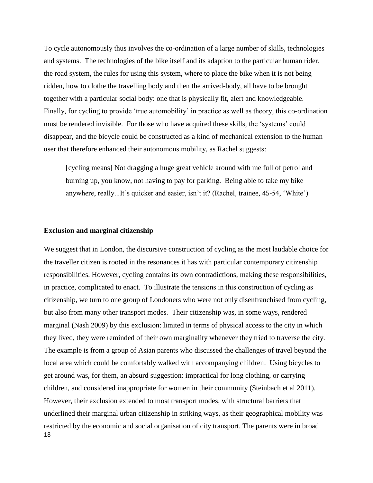To cycle autonomously thus involves the co-ordination of a large number of skills, technologies and systems. The technologies of the bike itself and its adaption to the particular human rider, the road system, the rules for using this system, where to place the bike when it is not being ridden, how to clothe the travelling body and then the arrived-body, all have to be brought together with a particular social body: one that is physically fit, alert and knowledgeable. Finally, for cycling to provide 'true automobility' in practice as well as theory, this co-ordination must be rendered invisible. For those who have acquired these skills, the 'systems' could disappear, and the bicycle could be constructed as a kind of mechanical extension to the human user that therefore enhanced their autonomous mobility, as Rachel suggests:

[cycling means] Not dragging a huge great vehicle around with me full of petrol and burning up, you know, not having to pay for parking. Being able to take my bike anywhere, really...It's quicker and easier, isn't it? (Rachel, trainee, 45-54, 'White')

#### **Exclusion and marginal citizenship**

18 We suggest that in London, the discursive construction of cycling as the most laudable choice for the traveller citizen is rooted in the resonances it has with particular contemporary citizenship responsibilities. However, cycling contains its own contradictions, making these responsibilities, in practice, complicated to enact. To illustrate the tensions in this construction of cycling as citizenship, we turn to one group of Londoners who were not only disenfranchised from cycling, but also from many other transport modes. Their citizenship was, in some ways, rendered marginal (Nash 2009) by this exclusion: limited in terms of physical access to the city in which they lived, they were reminded of their own marginality whenever they tried to traverse the city. The example is from a group of Asian parents who discussed the challenges of travel beyond the local area which could be comfortably walked with accompanying children. Using bicycles to get around was, for them, an absurd suggestion: impractical for long clothing, or carrying children, and considered inappropriate for women in their community (Steinbach et al 2011). However, their exclusion extended to most transport modes, with structural barriers that underlined their marginal urban citizenship in striking ways, as their geographical mobility was restricted by the economic and social organisation of city transport. The parents were in broad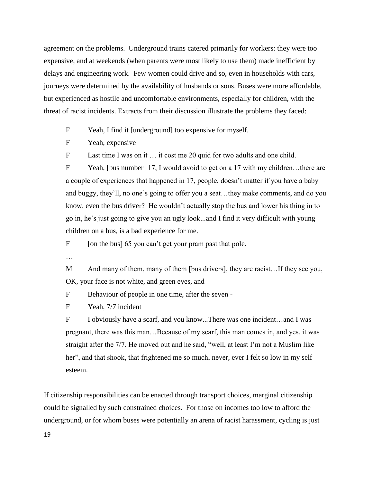agreement on the problems. Underground trains catered primarily for workers: they were too expensive, and at weekends (when parents were most likely to use them) made inefficient by delays and engineering work. Few women could drive and so, even in households with cars, journeys were determined by the availability of husbands or sons. Buses were more affordable, but experienced as hostile and uncomfortable environments, especially for children, with the threat of racist incidents. Extracts from their discussion illustrate the problems they faced:

F Yeah, I find it [underground] too expensive for myself.

F Yeah, expensive

F Last time I was on it … it cost me 20 quid for two adults and one child.

F Yeah, [bus number] 17, I would avoid to get on a 17 with my children…there are a couple of experiences that happened in 17, people, doesn't matter if you have a baby and buggy, they'll, no one's going to offer you a seat…they make comments, and do you know, even the bus driver? He wouldn't actually stop the bus and lower his thing in to go in, he's just going to give you an ugly look...and I find it very difficult with young children on a bus, is a bad experience for me.

F [on the bus] 65 you can't get your pram past that pole.

…

M And many of them, many of them [bus drivers], they are racist…If they see you, OK, your face is not white, and green eyes, and

F Behaviour of people in one time, after the seven -

F Yeah, 7/7 incident

F I obviously have a scarf, and you know...There was one incident…and I was pregnant, there was this man…Because of my scarf, this man comes in, and yes, it was straight after the 7/7. He moved out and he said, "well, at least I'm not a Muslim like her", and that shook, that frightened me so much, never, ever I felt so low in my self esteem.

If citizenship responsibilities can be enacted through transport choices, marginal citizenship could be signalled by such constrained choices. For those on incomes too low to afford the underground, or for whom buses were potentially an arena of racist harassment, cycling is just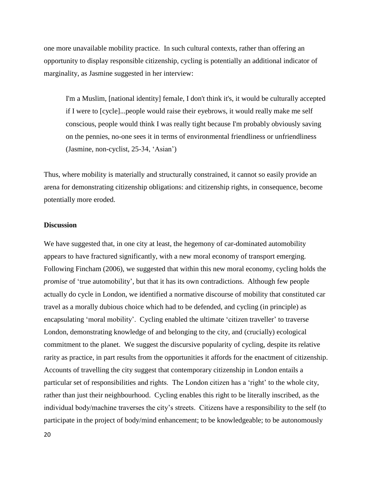one more unavailable mobility practice. In such cultural contexts, rather than offering an opportunity to display responsible citizenship, cycling is potentially an additional indicator of marginality, as Jasmine suggested in her interview:

I'm a Muslim, [national identity] female, I don't think it's, it would be culturally accepted if I were to [cycle]...people would raise their eyebrows, it would really make me self conscious, people would think I was really tight because I'm probably obviously saving on the pennies, no-one sees it in terms of environmental friendliness or unfriendliness (Jasmine, non-cyclist, 25-34, 'Asian')

Thus, where mobility is materially and structurally constrained, it cannot so easily provide an arena for demonstrating citizenship obligations: and citizenship rights, in consequence, become potentially more eroded.

## **Discussion**

We have suggested that, in one city at least, the hegemony of car-dominated automobility appears to have fractured significantly, with a new moral economy of transport emerging. Following Fincham (2006), we suggested that within this new moral economy, cycling holds the *promise* of 'true automobility', but that it has its own contradictions. Although few people actually do cycle in London, we identified a normative discourse of mobility that constituted car travel as a morally dubious choice which had to be defended, and cycling (in principle) as encapsulating 'moral mobility'. Cycling enabled the ultimate 'citizen traveller' to traverse London, demonstrating knowledge of and belonging to the city, and (crucially) ecological commitment to the planet. We suggest the discursive popularity of cycling, despite its relative rarity as practice, in part results from the opportunities it affords for the enactment of citizenship. Accounts of travelling the city suggest that contemporary citizenship in London entails a particular set of responsibilities and rights. The London citizen has a 'right' to the whole city, rather than just their neighbourhood. Cycling enables this right to be literally inscribed, as the individual body/machine traverses the city's streets. Citizens have a responsibility to the self (to participate in the project of body/mind enhancement; to be knowledgeable; to be autonomously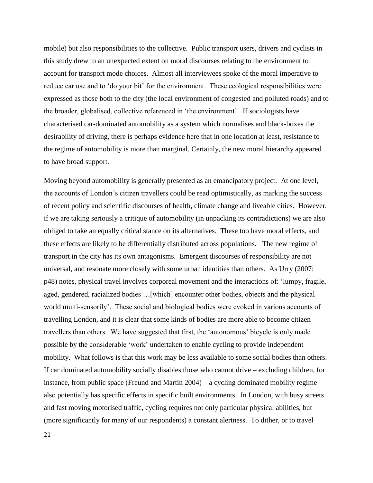mobile) but also responsibilities to the collective. Public transport users, drivers and cyclists in this study drew to an unexpected extent on moral discourses relating to the environment to account for transport mode choices. Almost all interviewees spoke of the moral imperative to reduce car use and to 'do your bit' for the environment. These ecological responsibilities were expressed as those both to the city (the local environment of congested and polluted roads) and to the broader, globalised, collective referenced in 'the environment'. If sociologists have characterised car-dominated automobility as a system which normalises and black-boxes the desirability of driving, there is perhaps evidence here that in one location at least, resistance to the regime of automobility is more than marginal. Certainly, the new moral hierarchy appeared to have broad support.

Moving beyond automobility is generally presented as an emancipatory project. At one level, the accounts of London's citizen travellers could be read optimistically, as marking the success of recent policy and scientific discourses of health, climate change and liveable cities. However, if we are taking seriously a critique of automobility (in unpacking its contradictions) we are also obliged to take an equally critical stance on its alternatives. These too have moral effects, and these effects are likely to be differentially distributed across populations. The new regime of transport in the city has its own antagonisms. Emergent discourses of responsibility are not universal, and resonate more closely with some urban identities than others. As Urry (2007: p48) notes, physical travel involves corporeal movement and the interactions of: 'lumpy, fragile, aged, gendered, racialized bodies …[which] encounter other bodies, objects and the physical world multi-sensorily'. These social and biological bodies were evoked in various accounts of travelling London, and it is clear that some kinds of bodies are more able to become citizen travellers than others. We have suggested that first, the 'autonomous' bicycle is only made possible by the considerable 'work' undertaken to enable cycling to provide independent mobility. What follows is that this work may be less available to some social bodies than others. If car dominated automobility socially disables those who cannot drive – excluding children, for instance, from public space (Freund and Martin 2004) – a cycling dominated mobility regime also potentially has specific effects in specific built environments. In London, with busy streets and fast moving motorised traffic, cycling requires not only particular physical abilities, but (more significantly for many of our respondents) a constant alertness. To dither, or to travel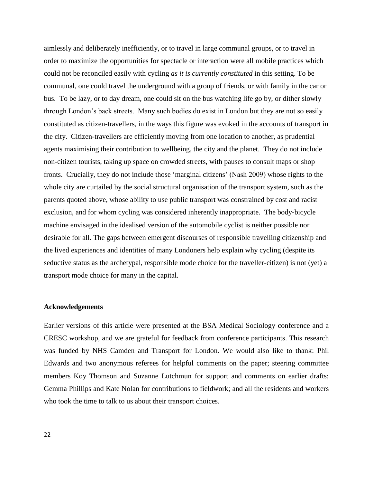aimlessly and deliberately inefficiently, or to travel in large communal groups, or to travel in order to maximize the opportunities for spectacle or interaction were all mobile practices which could not be reconciled easily with cycling *as it is currently constituted* in this setting. To be communal, one could travel the underground with a group of friends, or with family in the car or bus. To be lazy, or to day dream, one could sit on the bus watching life go by, or dither slowly through London's back streets. Many such bodies do exist in London but they are not so easily constituted as citizen-travellers, in the ways this figure was evoked in the accounts of transport in the city. Citizen-travellers are efficiently moving from one location to another, as prudential agents maximising their contribution to wellbeing, the city and the planet. They do not include non-citizen tourists, taking up space on crowded streets, with pauses to consult maps or shop fronts. Crucially, they do not include those 'marginal citizens' (Nash 2009) whose rights to the whole city are curtailed by the social structural organisation of the transport system, such as the parents quoted above, whose ability to use public transport was constrained by cost and racist exclusion, and for whom cycling was considered inherently inappropriate. The body-bicycle machine envisaged in the idealised version of the automobile cyclist is neither possible nor desirable for all. The gaps between emergent discourses of responsible travelling citizenship and the lived experiences and identities of many Londoners help explain why cycling (despite its seductive status as the archetypal, responsible mode choice for the traveller-citizen) is not (yet) a transport mode choice for many in the capital.

#### **Acknowledgements**

Earlier versions of this article were presented at the BSA Medical Sociology conference and a CRESC workshop, and we are grateful for feedback from conference participants. This research was funded by NHS Camden and Transport for London. We would also like to thank: Phil Edwards and two anonymous referees for helpful comments on the paper; steering committee members Koy Thomson and Suzanne Lutchmun for support and comments on earlier drafts; Gemma Phillips and Kate Nolan for contributions to fieldwork; and all the residents and workers who took the time to talk to us about their transport choices.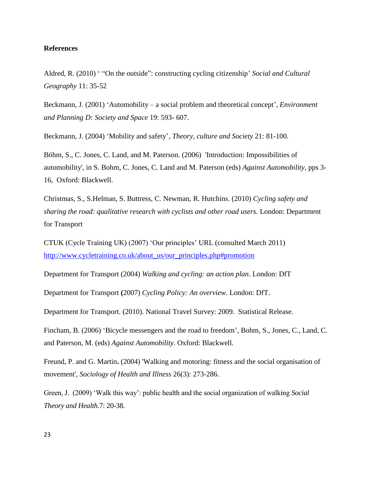## **References**

Aldred, R. (2010) ' "On the outside": constructing cycling citizenship' *Social and Cultural Geography* 11: 35-52

Beckmann, J. (2001) 'Automobility – a social problem and theoretical concept', *Environment and Planning D: Society and Space* 19: 593- 607.

Beckmann, J. (2004) 'Mobility and safety', *Theory, culture and Society* 21: 81-100.

Böhm, S., C. Jones, C. Land, and M. Paterson. (2006) 'Introduction: Impossibilities of automobility', in S. Bohm, C. Jones, C. Land and M. Paterson (eds) *Against Automobility*, pps 3- 16, Oxford: Blackwell.

Christmas, S., S.Helman, S. Buttress, C. Newman, R. Hutchins. (2010) *Cycling safety and sharing the road: qualitative research with cyclists and other road users.* London: Department for Transport

CTUK (Cycle Training UK) (2007) 'Our principles' URL (consulted March 2011) [http://www.cycletraining.co.uk/about\\_us/our\\_principles.php#promotion](http://www.cycletraining.co.uk/about_us/our_principles.php#promotion)

Department for Transport (2004) *Walking and cycling: an action plan*. London: DfT

Department for Transport **(**2007) *Cycling Policy: An overview.* London: DfT.

Department for Transport. (2010). National Travel Survey: 2009. Statistical Release.

Fincham, B. (2006) 'Bicycle messengers and the road to freedom', Bohm, S., Jones, C., Land, C. and Paterson, M. (eds) *Against Automobility*. Oxford: Blackwell.

Freund, P. and G. Martin**.** (2004) 'Walking and motoring: fitness and the social organisation of movement', *Sociology of Health and Illness* 26(3): 273-286.

Green, J. (2009) 'Walk this way': public health and the social organization of walking *Social Theory and Health*.7: 20-38.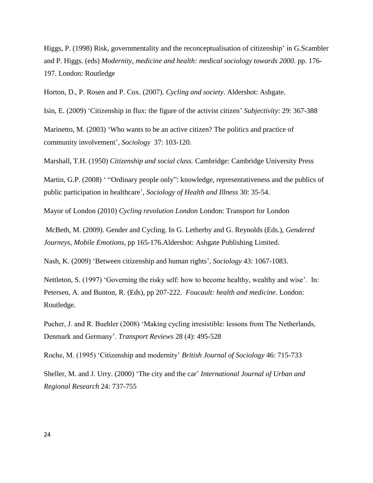Higgs, P. (1998) Risk, governmentality and the reconceptualisation of citizenship' in G.Scambler and P. Higgs. (eds) *Modernity, medicine and health: medical sociology towards 2000.* pp. 176- 197. London: Routledge

Horton, D., P. Rosen and P. Cox. (2007). *Cycling and society*. Aldershot: Ashgate.

Isin, E. (2009) 'Citizenship in flux: the figure of the activist citizen' *Subjectivity*: 29: 367-388

Marinetto, M. (2003) 'Who wants to be an active citizen? The politics and practice of community involvement', *Sociology* 37: 103-120.

Marshall, T.H. (1950) *Citizenship and social class.* Cambridge: Cambridge University Press

Martin, G.P. (2008) ' "Ordinary people only": knowledge, representativeness and the publics of public participation in healthcare', *Sociology of Health and Illness* 30: 35-54.

Mayor of London (2010) *Cycling revolution London* London: Transport for London

McBeth, M. (2009). Gender and Cycling. In G. Letherby and G. Reynolds (Eds.), *Gendered Journeys, Mobile Emotions*, pp 165-176.Aldershot: Ashgate Publishing Limited.

Nash, K. (2009) 'Between citizenship and human rights', *Sociology* 43: 1067-1083.

Nettleton, S. (1997) 'Governing the risky self: how to become healthy, wealthy and wise'. In: Petersen, A. and Bunton, R. (Eds), pp 207-222. *Foucault: health and medicine.* London: Routledge.

Pucher, J. and R. Buehler (2008) 'Making cycling irresistible: lessons from The Netherlands, Denmark and Germany'. *Transport Reviews* 28 (4): 495-528

Roche, M. (1995) 'Citizenship and modernity' *British Journal of Sociology* 46: 715-733

Sheller, M. and J. Urry. (2000) 'The city and the car' *International Journal of Urban and Regional Research* 24: 737-755